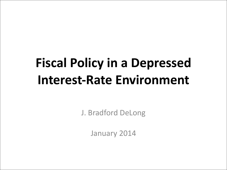# **Fiscal Policy in a Depressed Interest-Rate Environment**

J. Bradford DeLong

January 2014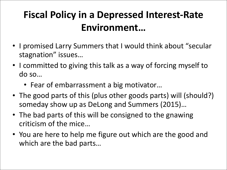#### **Fiscal Policy in a Depressed Interest-Rate Environment…**

- I promised Larry Summers that I would think about "secular stagnation" issues...
- I committed to giving this talk as a way of forcing myself to do so…
	- Fear of embarrassment a big motivator...
- The good parts of this (plus other goods parts) will (should?) someday show up as DeLong and Summers (2015)...
- The bad parts of this will be consigned to the gnawing criticism of the mice...
- You are here to help me figure out which are the good and which are the bad parts...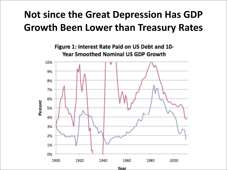#### **Not since the Great Depression Has GDP Growth Been Lower than Treasury Rates**



Year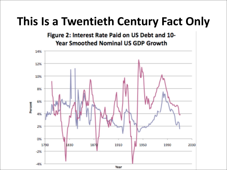### **This Is a Twentieth Century Fact Only**

Figure 2: Interest Rate Paid on US Debt and 10-**Year Smoothed Nominal US GDP Growth** 

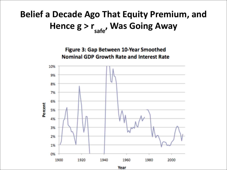#### **Belief a Decade Ago That Equity Premium, and** Hence  $g > r_{safe}$ , Was Going Away

Figure 3: Gap Between 10-Year Smoothed **Nominal GDP Growth Rate and Interest Rate** 



Year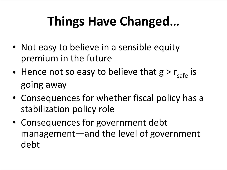## **Things Have Changed…**

- Not easy to believe in a sensible equity premium in the future
- Hence not so easy to believe that  $g > r_{\text{safe}}$  is going away
- Consequences for whether fiscal policy has a stabilization policy role
- Consequences for government debt management—and the level of government debt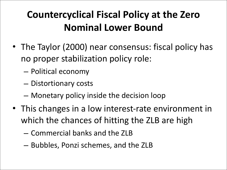#### **Countercyclical Fiscal Policy at the Zero Nominal Lower Bound**

- The Taylor (2000) near consensus: fiscal policy has no proper stabilization policy role:
	- Political economy
	- Distortionary costs
	- $-$  Monetary policy inside the decision loop
- This changes in a low interest-rate environment in which the chances of hitting the ZLB are high
	- Commercial banks and the ZLB
	- $-$  Bubbles, Ponzi schemes, and the ZLB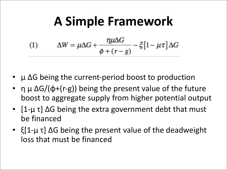### **A Simple Framework**

(1) 
$$
\Delta W = \mu \Delta G + \frac{\eta \mu \Delta G}{\phi + (r - g)} - \xi \left[1 - \mu \tau\right] \Delta G
$$

- $\mu$   $\Delta G$  being the current-period boost to production
- η  $\mu \Delta G/(\Phi + (r g))$  being the present value of the future boost to aggregate supply from higher potential output
- $[1-\mu \tau]$   $\Delta G$  being the extra government debt that must be financed
- $\{1-\mu\tau\}\Delta G$  being the present value of the deadweight loss that must be financed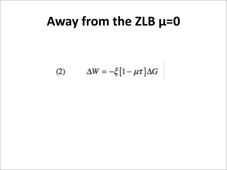### Away from the ZLB  $\mu=0$

$$
(2) \qquad \Delta W = -\xi \left[1 - \mu \tau\right] \Delta G
$$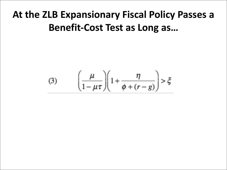#### At the ZLB Expansionary Fiscal Policy Passes a **Benefit-Cost Test as Long as...**

(3) 
$$
\left(\frac{\mu}{1-\mu\tau}\right)\left(1+\frac{\eta}{\phi+(r-g)}\right)>\xi
$$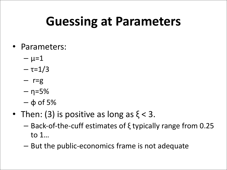### **Guessing at Parameters**

- Parameters:
	- $\mu = 1$
	- τ=1/3
	- $r=g$
	- $-$  η=5%
	- $-$  φ of 5%
- Then: (3) is positive as long as  $\xi < 3$ .
	- Back-of-the-cuff estimates of  $\xi$  typically range from 0.25 to  $1...$
	- $-$  But the public-economics frame is not adequate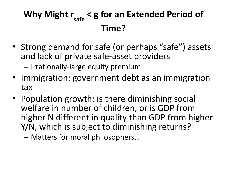#### Why Might r<sub>safe</sub> < g for an Extended Period of **Time?**

- Strong demand for safe (or perhaps "safe") assets and lack of private safe-asset providers
	- $-$  Irrationally-large equity premium
- Immigration: government debt as an immigration tax
- Population growth: is there diminishing social welfare in number of children, or is GDP from higher N different in quality than GDP from higher Y/N, which is subject to diminishing returns?
	- Matters for moral philosophers...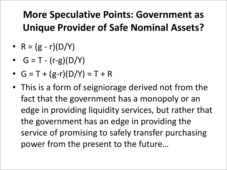#### **More Speculative Points: Government as Unique Provider of Safe Nominal Assets?**

- $R = (g r)(D/Y)$
- $G = T (r-g)(D/Y)$
- $G = T + (g-r)(D/Y) = T + R$
- This is a form of seigniorage derived not from the fact that the government has a monopoly or an edge in providing liquidity services, but rather that the government has an edge in providing the service of promising to safely transfer purchasing power from the present to the future...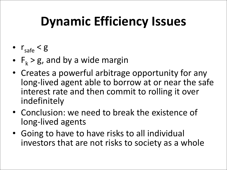# **Dynamic Efficiency Issues**

- $r_{\text{safe}} < g$
- $F_k > g$ , and by a wide margin
- Creates a powerful arbitrage opportunity for any long-lived agent able to borrow at or near the safe interest rate and then commit to rolling it over indefinitely
- Conclusion: we need to break the existence of long-lived agents
- Going to have to have risks to all individual investors that are not risks to society as a whole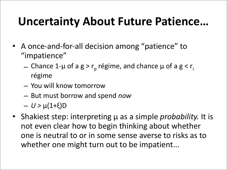### **Uncertainty About Future Patience...**

- A once-and-for-all decision among "patience" to "impatience"
	- Chance 1-μ of a g > r<sub>p</sub> régime, and chance μ of a g < r<sub>i</sub> régime
	- You will know tomorrow
	- $-$  But must borrow and spend *now*
	- *U >* μ(1+ξ)D
- Shakiest step: interpreting μ as a simple *probability*. It is not even clear how to begin thinking about whether one is neutral to or in some sense averse to risks as to whether one might turn out to be impatient...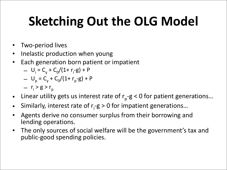# **Sketching Out the OLG Model**

- Two-period lives
- Inelastic production when young
- Each generation born patient or impatient
	- $U_i = C_y + C_0/(1+r_i-g) + P$
	- $U_p = C_v + C_0/(1+r_p-g) + P$
	- $r_i > g > r_p$
- Linear utility gets us interest rate of  $r_p-g < 0$  for patient generations...
- Similarly, interest rate of  $r_i-g > 0$  for impatient generations...
- Agents derive no consumer surplus from their borrowing and lending operations.
- The only sources of social welfare will be the government's tax and public-good spending policies.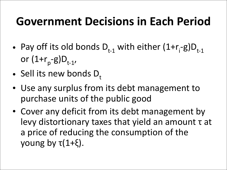### **Government Decisions in Each Period**

- Pay off its old bonds  $D_{t-1}$  with either  $(1+r_i-g)D_{t-1}$ or  $(1+r_{p} - g)D_{t-1}$ ,
- Sell its new bonds  $D_t$
- Use any surplus from its debt management to purchase units of the public good
- Cover any deficit from its debt management by levy distortionary taxes that yield an amount τ at a price of reducing the consumption of the young by  $\tau(1+\xi)$ .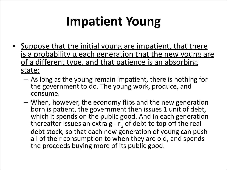## **Impatient Young**

- Suppose that the initial young are impatient, that there is a probability u each generation that the new young are of a different type, and that patience is an absorbing state:
	- $-$  As long as the young remain impatient, there is nothing for the government to do. The young work, produce, and consume.
	- $-$  When, however, the economy flips and the new generation born is patient, the government then issues 1 unit of debt, which it spends on the public good. And in each generation thereafter issues an extra  $g - r_p$  of debt to top off the real debt stock, so that each new generation of young can push all of their consumption to when they are old, and spends the proceeds buying more of its public good.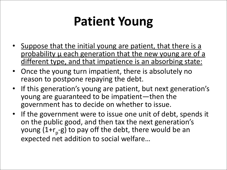# **Patient Young**

- Suppose that the initial young are patient, that there is a probability u each generation that the new young are of a different type, and that impatience is an absorbing state:
- Once the young turn impatient, there is absolutely no reason to postpone repaying the debt.
- If this generation's young are patient, but next generation's young are guaranteed to be impatient—then the government has to decide on whether to issue.
- If the government were to issue one unit of debt, spends it on the public good, and then tax the next generation's young (1+ $r_p$ -g) to pay off the debt, there would be an expected net addition to social welfare...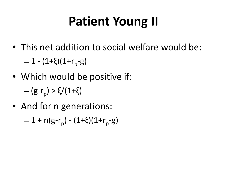## **Patient Young II**

• This net addition to social welfare would be:

 $-1 - (1+\xi)(1+r_{p} - g)$ 

• Which would be positive if:

– (g-r<sub>p</sub>) > ξ/(1+ξ)

• And for n generations:  $-1 + n(g-r_p) - (1+\xi)(1+r_p-g)$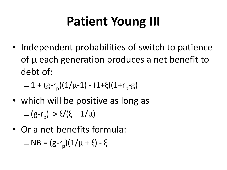# **Patient Young III**

• Independent probabilities of switch to patience of  $\mu$  each generation produces a net benefit to debt of:

$$
= 1 + (g-r_p)(1/\mu-1) - (1+\xi)(1+r_p-g)
$$

- which will be positive as long as  $-(g-r_p) > \xi/(\xi + 1/\mu)$
- Or a net-benefits formula:

– NB =  $(g-r_p)(1/\mu + \xi) - \xi$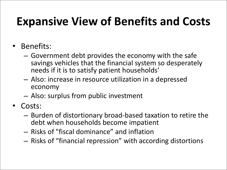### **Expansive View of Benefits and Costs**

- Benefits:
	- $-$  Government debt provides the economy with the safe savings vehicles that the financial system so desperately needs if it is to satisfy patient households'
	- $-$  Also: increase in resource utilization in a depressed economy
	- $-$  Also: surplus from public investment
- Costs:
	- $-$  Burden of distortionary broad-based taxation to retire the debt when households become impatient
	- $-$  Risks of "fiscal dominance" and inflation
	- $-$  Risks of "financial repression" with according distortions